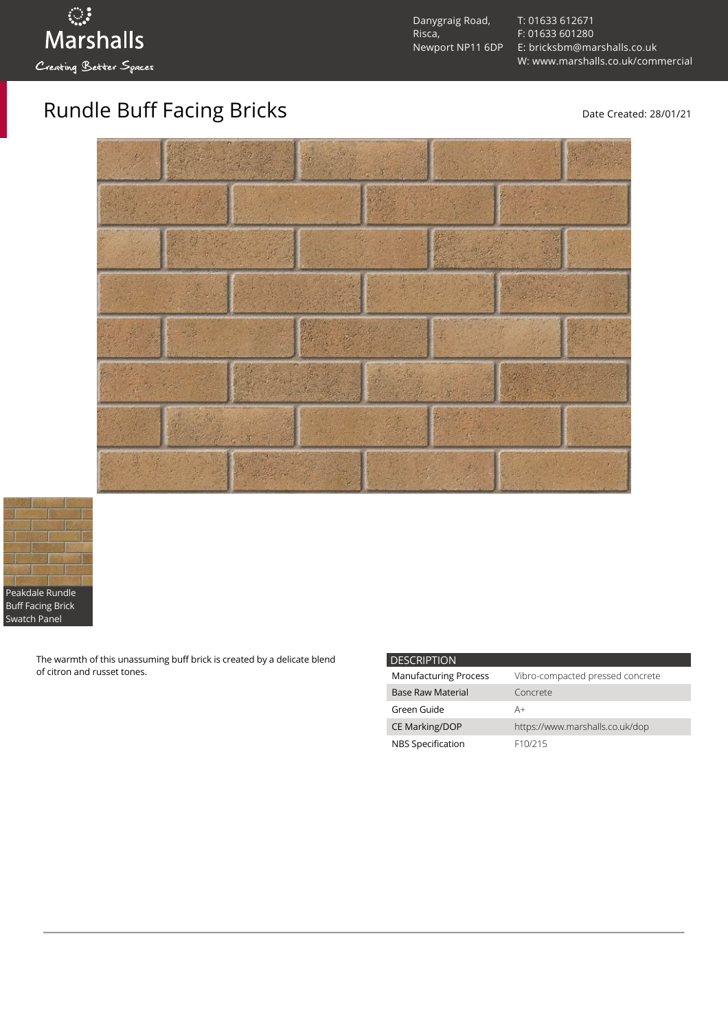

Danygraig Road, Risca, Newport NP11 6DP [T: 01633 612671](tel:01633%20612671) [F: 01633 601280](tel:01633%20601280) [E: bricksbm@marshalls.co.uk](mailto:bricksbm@marshalls.co.uk) [W: www.marshalls.co.uk/commercial](https://www.marshalls.co.uk/commercial)

## Rundle Buff Facing Bricks Date Created: 28/01/21





The warmth of this unassuming buff brick is created by a delicate blend of citron and russet tones.

| <b>DESCRIPTION</b>           |                                  |
|------------------------------|----------------------------------|
| <b>Manufacturing Process</b> | Vibro-compacted pressed concrete |
| <b>Base Raw Material</b>     | Concrete                         |
| Green Guide                  | A+                               |
| <b>CE Marking/DOP</b>        | https://www.marshalls.co.uk/dop  |
| NBS Specification            | F <sub>10</sub> /215             |